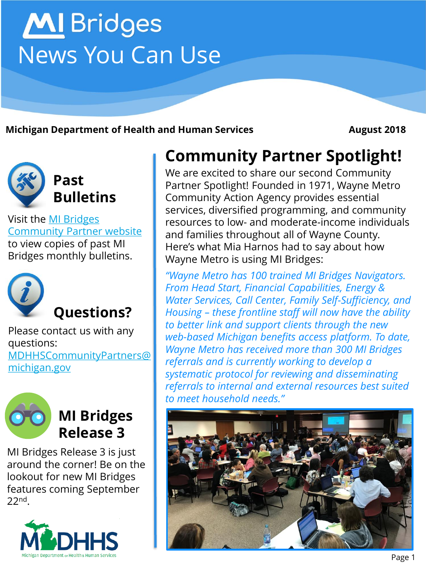# **MI** Bridges News You Can Use

**Michigan Department of Health and Human Services <b>August 2018** 



Visit the MI Bridges [Community Partner website](http://www.michigan.gov/mdhhs/0,5885,7-339-71551_82637---,00.html)  to view copies of past MI Bridges monthly bulletins.



Please contact us with any questions: [MDHHSCommunityPartners@](mailto:MDHHSCommunityPartners@michigan.gov) michigan.gov



#### **MI Bridges Release 3**

MI Bridges Release 3 is just around the corner! Be on the lookout for new MI Bridges features coming September 22nd.



### **Community Partner Spotlight!**

We are excited to share our second Community Partner Spotlight! Founded in 1971, Wayne Metro Community Action Agency provides essential services, diversified programming, and community resources to low- and moderate-income individuals and families throughout all of Wayne County. Here's what Mia Harnos had to say about how Wayne Metro is using MI Bridges:

*"Wayne Metro has 100 trained MI Bridges Navigators. From Head Start, Financial Capabilities, Energy & Water Services, Call Center, Family Self-Sufficiency, and Housing – these frontline staff will now have the ability to better link and support clients through the new web-based Michigan benefits access platform. To date, Wayne Metro has received more than 300 MI Bridges referrals and is currently working to develop a systematic protocol for reviewing and disseminating referrals to internal and external resources best suited to meet household needs."* 

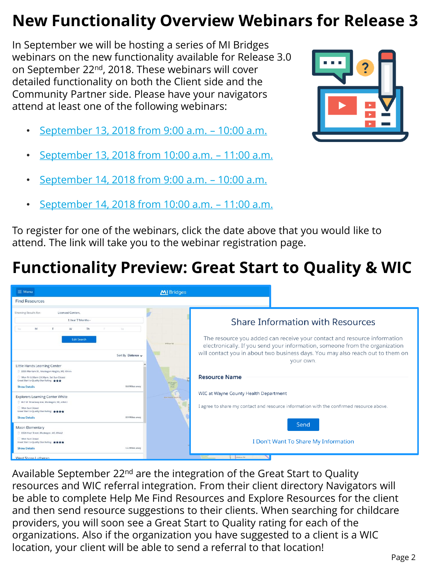## **New Functionality Overview Webinars for Release 3**

In September we will be hosting a series of MI Bridges webinars on the new functionality available for Release 3.0 on September 22nd, 2018. These webinars will cover detailed functionality on both the Client side and the Community Partner side. Please have your navigators attend at least one of the following webinars:

- [September 13, 2018 from 9:00 a.m.](https://na01.safelinks.protection.outlook.com/?url=https://attendee.gotowebinar.com/register/2469352875532921090&data=02|01|MDHHSCommunityPartners@michigan.gov|ba2d375ead0946baee1e08d6069e8e75|d5fb7087377742ad966a892ef47225d1|0|0|636703675403982836&sdata=23PvlZJp/CMLzcyBKij5p92wYsa29kxBOJc3Us%2BkXm0%3D&reserved=0)  10:00 a.m.
- [September 13, 2018 from 10:00 a.m.](https://na01.safelinks.protection.outlook.com/?url=https://attendee.gotowebinar.com/register/2467248410277369858&data=02|01|MDHHSCommunityPartners@michigan.gov|ba2d375ead0946baee1e08d6069e8e75|d5fb7087377742ad966a892ef47225d1|0|0|636703675403992845&sdata=zbHmmllDKiaNDhFaWFSv7TdDaU8n6EerfR5q2cIn698%3D&reserved=0)  11:00 a.m.
- [September 14, 2018 from 9:00 a.m.](https://na01.safelinks.protection.outlook.com/?url=https://attendee.gotowebinar.com/register/1746088629223759618&data=02|01|MDHHSCommunityPartners@michigan.gov|ba2d375ead0946baee1e08d6069e8e75|d5fb7087377742ad966a892ef47225d1|0|0|636703675404002853&sdata=HECottAszqEe8J7uFxcKTsxYf1gIYqkUSBSnxdwFuPg%3D&reserved=0)  10:00 a.m.
- [September 14, 2018 from 10:00 a.m.](https://na01.safelinks.protection.outlook.com/?url=https://attendee.gotowebinar.com/register/8145228710694026242&data=02|01|MDHHSCommunityPartners@michigan.gov|ba2d375ead0946baee1e08d6069e8e75|d5fb7087377742ad966a892ef47225d1|0|0|636703675404002853&sdata=RG%2BZEGZ8AIo47a0NWKk16gFV6YeoKT3gLaBxpPRXp4g%3D&reserved=0)  11:00 a.m.

To register for one of the webinars, click the date above that you would like to attend. The link will take you to the webinar registration page.

## **Functionality Preview: Great Start to Quality & WIC**

| $\equiv$ Menu                                                                                                                                                           | MI Bridges                   |                                                                                                                                                                            |
|-------------------------------------------------------------------------------------------------------------------------------------------------------------------------|------------------------------|----------------------------------------------------------------------------------------------------------------------------------------------------------------------------|
| <b>Find Resources</b>                                                                                                                                                   |                              |                                                                                                                                                                            |
| Showing Results for:<br><b>Licensed Centers</b> ,<br>1 Year 7 Months -<br>M<br>Th<br>W.<br>Sū<br>Sa<br><b>Edit Search</b>                                               |                              | <b>Share Information with Resources</b><br>The resource you added can receive your contact and resource information                                                        |
| Sort By Distance v<br>$\lambda$<br>Little Hands Learning Center                                                                                                         | W River Rd                   | electronically. If you send your information, someone from the organization<br>will contact you in about two business days. You may also reach out to them on<br>your own. |
| 3355 Merriam St., Muskegon Heights, MI, 49444<br>Mon-Fri 6:30am-10:30pm, Sat-Sun Closed<br>Great Start to Quality Star Rating:<br>0.8 Miles away<br><b>Show Details</b> | Muskegon<br>State<br>Park    | <b>Resource Name</b>                                                                                                                                                       |
| <b>Explorers Learning Center White</b>                                                                                                                                  | <b>MACHINERY IN OCCUPANT</b> | WIC at Wayne County Health Department                                                                                                                                      |
| 947 W. Broadway Ave, Muskegon, MI, 49441<br>Mon-Sun Closed<br>Great Start to Quality Star Rating: ★★★★                                                                  |                              | I agree to share my contact and resource information with the confirmed resource above.                                                                                    |
| 0.9 Miles away<br><b>Show Details</b>                                                                                                                                   |                              |                                                                                                                                                                            |
| <b>Moon Elementary</b><br>3 1826 Hoyt Street, Muskegon, MI, 49442                                                                                                       |                              | Send                                                                                                                                                                       |
| Mon-Sun Closed<br>Great Start to Quality Star Rating: ★★★★<br><b>Show Details</b><br>1.4 Miles away                                                                     |                              | I Don't Want To Share My Information                                                                                                                                       |
| West Shore Lutheran                                                                                                                                                     |                              | <b>Pontatura Rd</b>                                                                                                                                                        |

Available September 22<sup>nd</sup> are the integration of the Great Start to Quality resources and WIC referral integration. From their client directory Navigators will be able to complete Help Me Find Resources and Explore Resources for the client and then send resource suggestions to their clients. When searching for childcare providers, you will soon see a Great Start to Quality rating for each of the organizations. Also if the organization you have suggested to a client is a WIC location, your client will be able to send a referral to that location!

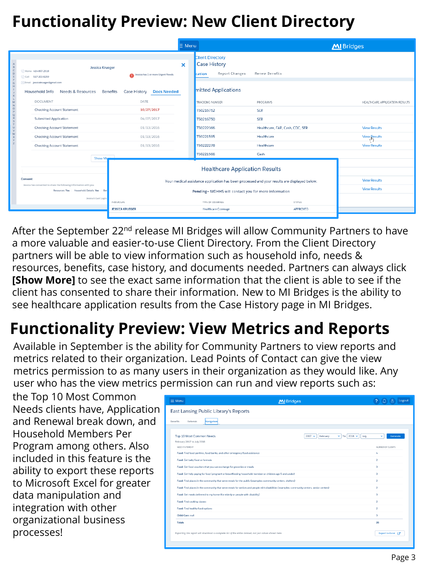# **Functionality Preview: New Client Directory**

| <b>Client Directory</b><br><b>Case History</b><br>$\boldsymbol{\mathsf{x}}$<br>Jessica Krueger<br>C: Home 414-897-2518<br><b>Report Changes</b><br><b>Renew Benefits</b><br>cation<br>Jessica has 1 or more Urgent Needs.<br>C: Cell 517-203-8259<br>Email jessicakrueger@gmail.com<br>mitted Applications<br><b>Needs &amp; Resources</b><br><b>Benefits</b><br><b>Case History</b><br><b>Household Info</b><br><b>Docs Needed</b><br><b>DOCUMENT</b><br>DATE<br><b>TRACKING NUMBER</b><br><b>PROGRAMS</b> | MI Bridges                     |
|-------------------------------------------------------------------------------------------------------------------------------------------------------------------------------------------------------------------------------------------------------------------------------------------------------------------------------------------------------------------------------------------------------------------------------------------------------------------------------------------------------------|--------------------------------|
|                                                                                                                                                                                                                                                                                                                                                                                                                                                                                                             |                                |
|                                                                                                                                                                                                                                                                                                                                                                                                                                                                                                             | HEALTHCARE APPLICATION RESULTS |
| <b>Checking Account Statement</b><br>10/27/2017<br>T50216752<br><b>SER</b>                                                                                                                                                                                                                                                                                                                                                                                                                                  |                                |
| <b>Submitted Application</b><br>04/07/2017<br>T50216750<br><b>SER</b>                                                                                                                                                                                                                                                                                                                                                                                                                                       |                                |
| <b>Checking Account Statement</b><br>01/13/2016<br>T50222366<br>Healthcare, FAP, Cash, CDC, SER<br><b>View Results</b>                                                                                                                                                                                                                                                                                                                                                                                      |                                |
| 01/13/2016<br><b>Checking Account Statement</b><br>T50221595<br>Healthcare<br><b>View Results</b>                                                                                                                                                                                                                                                                                                                                                                                                           |                                |
| 01/13/2016<br>T50222278<br>Healthcare<br><b>Checking Account Statement</b><br><b>View Results</b>                                                                                                                                                                                                                                                                                                                                                                                                           |                                |
| T50221566<br>Cash<br><b>Show Mon</b>                                                                                                                                                                                                                                                                                                                                                                                                                                                                        |                                |
| <b>Healthcare Application Results</b><br>Consent<br><b>View Results</b><br>Your medical assistance application has been processed and your results are displayed below.<br>Jessica has consented to share the following information with you.                                                                                                                                                                                                                                                               |                                |
| <b>View Results</b><br>Resources: Yes Household Details: Yes Ben<br>Pending= MDHHS will contact you for more information                                                                                                                                                                                                                                                                                                                                                                                    |                                |
| Jessica's Last Login<br><b>INDIVIDUAL</b><br>TYPE OF COVERAGE<br><b>STATUS</b>                                                                                                                                                                                                                                                                                                                                                                                                                              |                                |
| <b>JESSICA KRUEGER</b><br><b>Healthcare Coverage</b><br>APPROVED                                                                                                                                                                                                                                                                                                                                                                                                                                            |                                |

After the September 22<sup>nd</sup> release MI Bridges will allow Community Partners to have a more valuable and easier-to-use Client Directory. From the Client Directory partners will be able to view information such as household info, needs & resources, benefits, case history, and documents needed. Partners can always click **[Show More]** to see the exact same information that the client is able to see if the client has consented to share their information. New to MI Bridges is the ability to see healthcare application results from the Case History page in MI Bridges.

# **Functionality Preview: View Metrics and Reports**

Available in September is the ability for Community Partners to view reports and metrics related to their organization. Lead Points of Contact can give the view metrics permission to as many users in their organization as they would like. Any user who has the view metrics permission can run and view reports such as:

the Top 10 Most Common Needs clients have, Application and Renewal break down, and Household Members Per Program among others. Also included in this feature is the ability to export these reports to Microsoft Excel for greater data manipulation and integration with other organizational business processes!

| $\equiv$ Menu<br>MI Bridges                                                                                                                | Logout                  |
|--------------------------------------------------------------------------------------------------------------------------------------------|-------------------------|
| East Lansing Public Library's Reports                                                                                                      |                         |
|                                                                                                                                            |                         |
| <b>Benefits</b><br>Referrals<br>Navigators                                                                                                 |                         |
|                                                                                                                                            |                         |
| $\vee$ To 2018 $\vee$<br>Top 10 Most Common Needs<br>$2017 -$<br>February<br>July                                                          | v<br>Generate           |
| February 2017 to July 2018                                                                                                                 |                         |
| NEED STATEMENT                                                                                                                             | NUMBER OF CLIENTS       |
| Food: Find food pantries, food banks, and other emergency food assistance                                                                  | 4                       |
| Food: Get baby food or formula                                                                                                             | $\overline{\mathbf{z}}$ |
| Food: Get food vouchers that you can exchange for groceries or meals                                                                       | $\overline{\mathbf{3}}$ |
| Food: Get help paying for food (pregnant or breastfeeding household member or children age 5 and under)                                    | 3                       |
| Food: Find places in the community that serve meals for the public (examples: community centers, shelters)                                 | $\overline{2}$          |
| Food: Find places in the community that serve meals for seniors and people with disabilities (examples: community centers, senior centers) | $\overline{2}$          |
| Food: Get meals delivered to my home (for elderly or people with disability)                                                               | 3                       |
| Food: Find cooking classes                                                                                                                 | $\overline{2}$          |
| Food: Find healthy food options                                                                                                            | $\mathbf 2$             |
| Child Care: null                                                                                                                           | 3                       |
| <b>Totals</b>                                                                                                                              | 26                      |
| Exporting this report will download a complete list of the entire dataset, not just values shown here.                                     | Export to Excel [7      |
|                                                                                                                                            |                         |